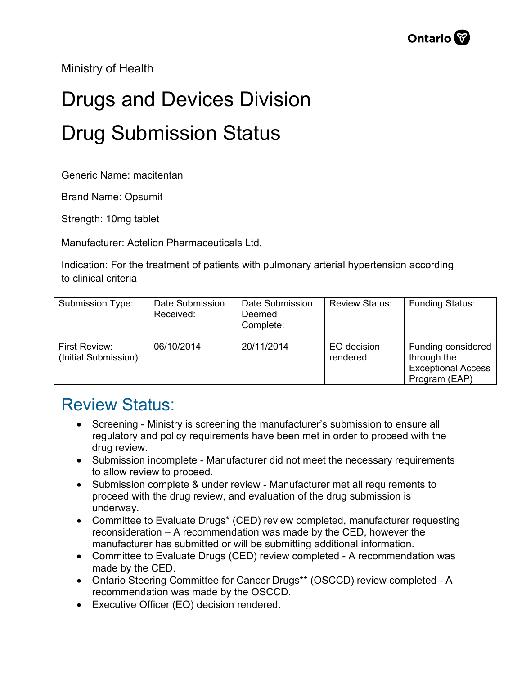Ministry of Health

## Drugs and Devices Division Drug Submission Status

Generic Name: macitentan

Brand Name: Opsumit

Strength: 10mg tablet

Manufacturer: Actelion Pharmaceuticals Ltd.

Indication: For the treatment of patients with pulmonary arterial hypertension according to clinical criteria

| <b>Submission Type:</b>               | Date Submission<br>Received: | Date Submission<br>Deemed<br>Complete: | <b>Review Status:</b>   | <b>Funding Status:</b>                                                          |
|---------------------------------------|------------------------------|----------------------------------------|-------------------------|---------------------------------------------------------------------------------|
| First Review:<br>(Initial Submission) | 06/10/2014                   | 20/11/2014                             | EO decision<br>rendered | Funding considered<br>through the<br><b>Exceptional Access</b><br>Program (EAP) |

## Review Status:

- Screening Ministry is screening the manufacturer's submission to ensure all regulatory and policy requirements have been met in order to proceed with the drug review.
- Submission incomplete Manufacturer did not meet the necessary requirements to allow review to proceed.
- Submission complete & under review Manufacturer met all requirements to proceed with the drug review, and evaluation of the drug submission is underway.
- Committee to Evaluate Drugs\* (CED) review completed, manufacturer requesting reconsideration – A recommendation was made by the CED, however the manufacturer has submitted or will be submitting additional information.
- Committee to Evaluate Drugs (CED) review completed A recommendation was made by the CED.
- Ontario Steering Committee for Cancer Drugs\*\* (OSCCD) review completed A recommendation was made by the OSCCD.
- Executive Officer (EO) decision rendered.